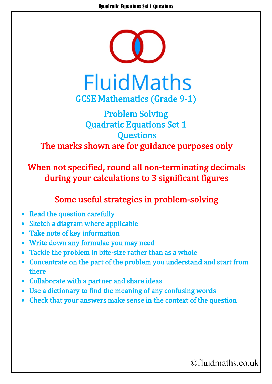

## Problem Solving Quadratic Equations Set 1 **Questions** The marks shown are for guidance purposes only

When not specified, round all non-terminating decimals during your calculations to 3 significant figures

## Some useful strategies in problem-solving

- **Read the question carefully**
- Sketch a diagram where applicable
- Take note of key information
- Write down any formulae you may need
- Tackle the problem in bite-size rather than as a whole
- Concentrate on the part of the problem you understand and start from there
- Collaborate with a partner and share ideas
- Use a dictionary to find the meaning of any confusing words
- Check that your answers make sense in the context of the question

## ©fluidmaths.co.uk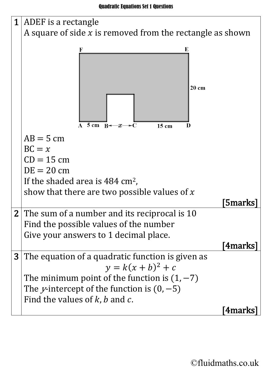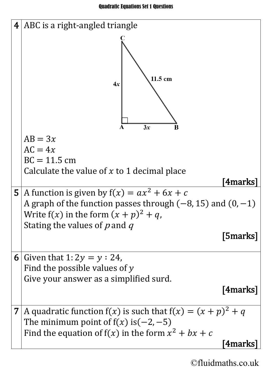

©fluidmaths.co.uk